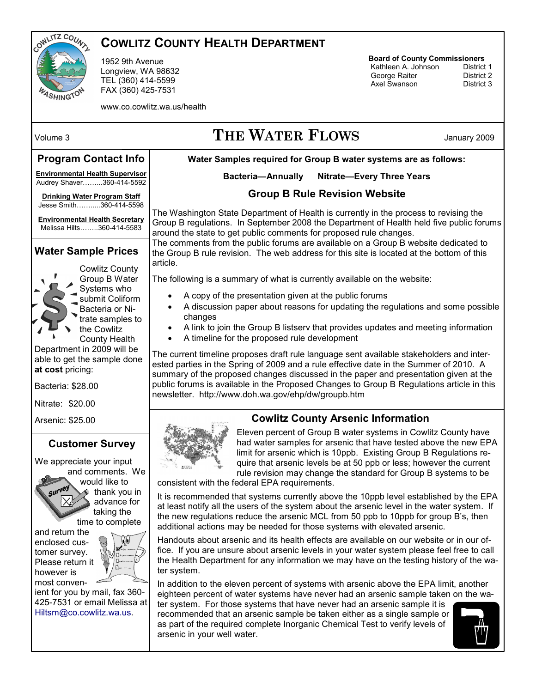

# COWLITZ COUNTY HEALTH DEPARTMENT

1952 9th Avenue Longview, WA 98632 TEL (360) 414-5599 FAX (360) 425-7531

www.co.cowlitz.wa.us/health

**Board of County Commissioners**<br>Kathleen A. Johnson District 1 Kathleen A. Johnson District 1<br>George Raiter District 2 George Raiter **District 2**<br>Axel Swanson **District 3** Axel Swanson

# Volume 3 **THE WATER FLOWS** January 2009

| <b>Program Contact Info</b>                                                                                | Water Samples required for Group B water systems are as follows:                                                                                                                                                                                                                                                                                                                                                                                      |
|------------------------------------------------------------------------------------------------------------|-------------------------------------------------------------------------------------------------------------------------------------------------------------------------------------------------------------------------------------------------------------------------------------------------------------------------------------------------------------------------------------------------------------------------------------------------------|
| <b>Environmental Health Supervisor</b><br>Audrey Shaver360-414-5592                                        | <b>Bacteria-Annually</b><br><b>Nitrate-Every Three Years</b>                                                                                                                                                                                                                                                                                                                                                                                          |
| <b>Drinking Water Program Staff</b><br>Jesse Smith360-414-5598                                             | <b>Group B Rule Revision Website</b>                                                                                                                                                                                                                                                                                                                                                                                                                  |
| <b>Environmental Health Secretary</b><br>Melissa Hilts360-414-5583                                         | The Washington State Department of Health is currently in the process to revising the<br>Group B regulations. In September 2008 the Department of Health held five public forums<br>around the state to get public comments for proposed rule changes.                                                                                                                                                                                                |
| <b>Water Sample Prices</b>                                                                                 | The comments from the public forums are available on a Group B website dedicated to<br>the Group B rule revision. The web address for this site is located at the bottom of this<br>article.                                                                                                                                                                                                                                                          |
| <b>Cowlitz County</b><br>Group B Water<br>Systems who                                                      | The following is a summary of what is currently available on the website:                                                                                                                                                                                                                                                                                                                                                                             |
| submit Coliform<br>Bacteria or Ni-<br>trate samples to<br>the Cowlitz<br>County Health                     | A copy of the presentation given at the public forums<br>$\bullet$<br>A discussion paper about reasons for updating the regulations and some possible<br>changes<br>A link to join the Group B listserv that provides updates and meeting information<br>$\bullet$<br>A timeline for the proposed rule development<br>$\bullet$                                                                                                                       |
| Department in 2009 will be<br>able to get the sample done<br>at cost pricing:                              | The current timeline proposes draft rule language sent available stakeholders and inter-<br>ested parties in the Spring of 2009 and a rule effective date in the Summer of 2010. A<br>summary of the proposed changes discussed in the paper and presentation given at the<br>public forums is available in the Proposed Changes to Group B Regulations article in this                                                                               |
| Bacteria: \$28.00                                                                                          | newsletter. http://www.doh.wa.gov/ehp/dw/groupb.htm                                                                                                                                                                                                                                                                                                                                                                                                   |
| Nitrate: \$20.00                                                                                           |                                                                                                                                                                                                                                                                                                                                                                                                                                                       |
| Arsenic: \$25.00                                                                                           | <b>Cowlitz County Arsenic Information</b><br>Eleven percent of Group B water systems in Cowlitz County have                                                                                                                                                                                                                                                                                                                                           |
| <b>Customer Survey</b><br>We appreciate your input<br>and comments. We<br>would like to                    | had water samples for arsenic that have tested above the new EPA<br>limit for arsenic which is 10ppb. Existing Group B Regulations re-<br>quire that arsenic levels be at 50 ppb or less; however the current<br>rule revision may change the standard for Group B systems to be<br>consistent with the federal EPA requirements.                                                                                                                     |
| surve)<br>$\Diamond$ thank you in<br>advance for<br>taking the<br>time to complete<br>and return the       | It is recommended that systems currently above the 10ppb level established by the EPA<br>at least notify all the users of the system about the arsenic level in the water system. If<br>the new regulations reduce the arsenic MCL from 50 ppb to 10ppb for group B's, then<br>additional actions may be needed for those systems with elevated arsenic.                                                                                              |
| enclosed cus-<br>60<br>W.<br>tomer survey.<br>Please return it<br>however is                               | Handouts about arsenic and its health effects are available on our website or in our of-<br>fice. If you are unsure about arsenic levels in your water system please feel free to call<br>the Health Department for any information we may have on the testing history of the wa-<br>ter system.                                                                                                                                                      |
| most conven-<br>ient for you by mail, fax 360-<br>425-7531 or email Melissa at<br>Hiltsm@co.cowlitz.wa.us. | In addition to the eleven percent of systems with arsenic above the EPA limit, another<br>eighteen percent of water systems have never had an arsenic sample taken on the wa-<br>ter system. For those systems that have never had an arsenic sample it is<br>recommended that an arsenic sample be taken either as a single sample or<br>as part of the required complete Inorganic Chemical Test to verify levels of<br>arsenic in your well water. |